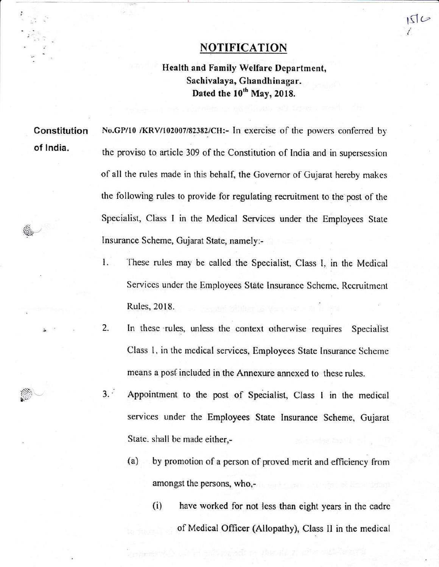## **NOTIFICATION**

 $15C$ 

t

Health and Family Welfare Department, Sachivalaya, Ghandhinagar. Dated the 10<sup>th</sup> May, 2018.

Constitution of lndia.

No.GP/10 /KRV/102007/82382/CH:- In exercise of the powers conferred by the proviso to article 309 of the Constitution of India and in supersession of all the rules made in this behalf, the Governor of Gujarat hereby makes the following rules to provide for regulating recruitment to the post of the Specialist, Class I in the Medical Services under the Employees State Insurance Scheme, Gujarat State, namely:-

- 1. These rules may be called the Specialist, Class I, in the Medical Services under the Employees State Insurance Scheme. Recruitment Rules, 2018.
- 2. In these rules, unless the context otherwise requires Specialist Class 1, in the medical services, Employees State Insurance Scheme means a post included in the Annexure annexed to these rules.
- 3. ' Appointment to the post of Specialist. Class I in the medical services under the Employees State Insurance Scheme, Gujarat State. shall be made either,-
	- (a) by promotion of a person of proved merit and efficiency from amongst the persons, who,-
		- (i) have worked for not less than eight years in the cadre of Medical Officer (Allopathy), Class II in the medical

್ಲ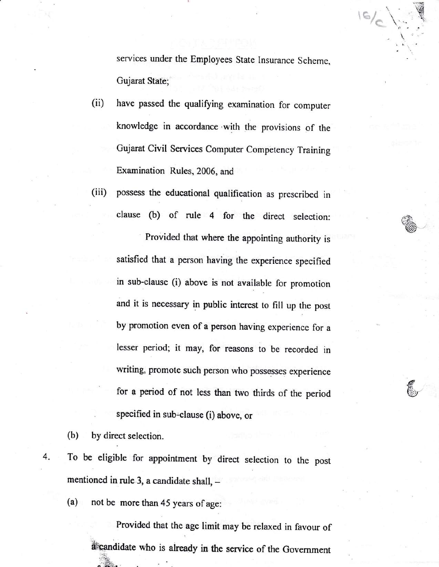services under the Employees State Insurance Scheme, Gujarat State;

- have passed the qualifying examination for computer  $(ii)$ knowledge in accordance with the provisions of the Gujarat Civil Services Computer Competency Training Examination Rules, 2006, and
- $(iii)$ possess the educational qualification as prescribed in clause (b) of rule 4 for the direct selection:

Provided that where the appointing authority is satisfied that a person having the experience specified in sub-clause (i) above is not available for promotion and it is necessary in public interest to fill up the post by promotion even of a person having experience for a lesser period; it may, for reasons to be recorded in writing, promote such person who possesses experience for a period of not less than two thirds of the period specified in sub-clause (i) above, or

by direct selection.  $(b)$ 

To be eligible for appointment by direct selection to the post 4. mentioned in rule 3, a candidate shall, -

not be more than 45 years of age:  $(a)$ 

> Provided that the age limit may be relaxed in favour of a candidate who is already in the service of the Government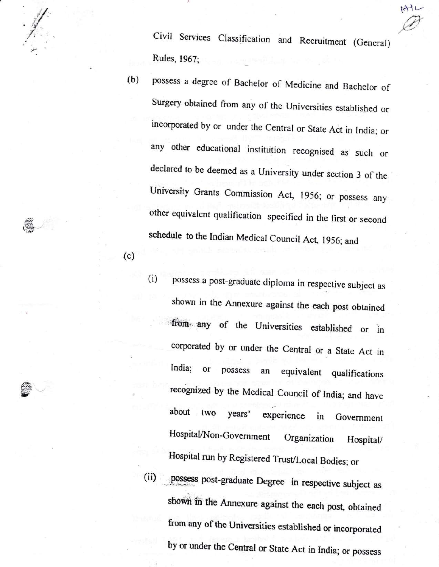141t<br>Civil Services Classification and Recruitment (General) Rules, 1967;

"'/ .  $\mathcal{N}$ a -,{  $\cdot$  . ;.1.

v

(c)

- (b) possess a degree of Bachelor of Medicine and Bachelor of Surgery obtained from any of the Universities established or incorporated by or under the Central or State Act in India; or any other educational institution recognised as such or declared to be deemed as a University under section 3 of the University Grants Commission Act, 1956; or possess any other equivalent qualification specified in the first or second schedule to the Indian Medical Council Act, 1956; and
	- (i) possess a post-graduate diploma in respective subject as shown in the Annexure against the each post obtained from any of the Universities established or in corporated by or under the central or a State Act in India; or possess an equivalent qualifications recognized by rhe Medical council of India; and have about two years' experience in Government Hospital/Non-Government Organization Hospital/ Hospital run by Registered Trust/Local Bodies; or
	- (ii) possess post-graduate Degree in respective subject as shown in the Annexure against the each post, obtained from any of the Universities established or incorporated by or under the Central or State Act in India; or possess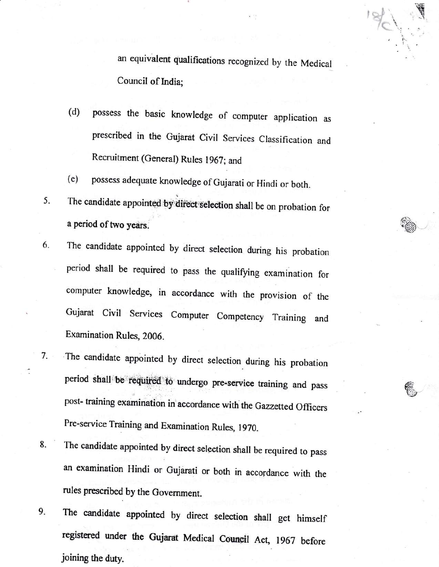an equivalent qualifications recognized by the Medical Council of India;

- (d) possess the basic knowledge of computer application as prescribed in the Gujarat Civil Services Classification and Recruitment (General) Rules 1967; and
- (e) possess adequate knowledge of Gujarati or Hindi or both.
- 5. The candidate appointed by direct selection shall be on probation for a period of two years.
- 6. The candidate appointed by direct selection during his probation period shall be required to pass the qualifying examination for computer knowledge, in accordance with the provision of the Gujarat civil Services computer competency Training and Examination Rules, 2006.
- The candidate appointed by direct selection during his probation period shall be required to undergo pre-service training and pass post- training examination in'accordance with the Gazzetted officers Pre-service Training and Examination Rules, 1970. 7.

HI 't:l:..

/?\  $*(\cdot;\cdot)$ 

- The candidate appointed by direct selection shail be required to pass an examination Hindi or Gujarati or both in accordance with the rules prescribed by the Government. 8.
- The candidate appointed by direct selection shall get himself registered under the Gujarat Medical Council Act, 1967 before joining the dury. 9.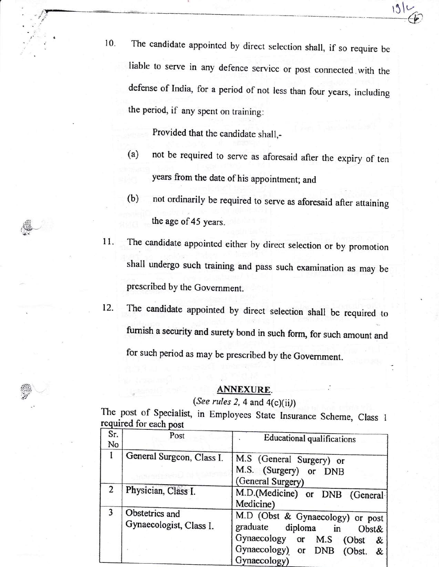10. The candidate appointed by direct selection shall, if so require be liable to serve in any defence service or post connected with the defense of India, for a period of not less than four years, including the period, if any spent on training:

 $13$ 

Provided that the candidate shall,-

a

 $\sim$ - ;"

.1/

- (a) not be required to serve as aforesaid after the expiry of ten years from the date of his appointment; and
- (b) not ordinarily be required to serve as aforesaid after aftaining the age of 45 years.
- The candidate appointed either by direct selection or by promorion shall undergo such training and pass such examination as may be prescribed by the Government. IL
- The candidate appointed by direct selection shall be required to furnish a security and surety bond in such form, for such amount and for such period as may be prescribed by the Government. 12.

## ANNEXURE

## (See rules 2, 4 and  $4(c)(ii)$ )

The post of Specialist, in Employees State Insurance Scheme, Class required for each post required for each post

| Sr.<br>No | Post                                      | <b>Educational qualifications</b>                                                                                                                       |
|-----------|-------------------------------------------|---------------------------------------------------------------------------------------------------------------------------------------------------------|
| 1         | General Surgeon, Class I.                 | M.S (General Surgery) or<br>M.S. (Surgery) or DNB<br>(General Surgery)                                                                                  |
| 2         | Physician, Class I.                       | M.D.(Medicine) or DNB (General<br>Medicine)                                                                                                             |
|           | Obstetrics and<br>Gynaecologist, Class I. | M.D (Obst & Gynaecology) or post<br>graduate diploma in<br>Obst&<br>Gynaecology or M.S<br>(Obst<br>&<br>Gynaecology) or DNB (Obst.<br>&<br>Gynaecology) |